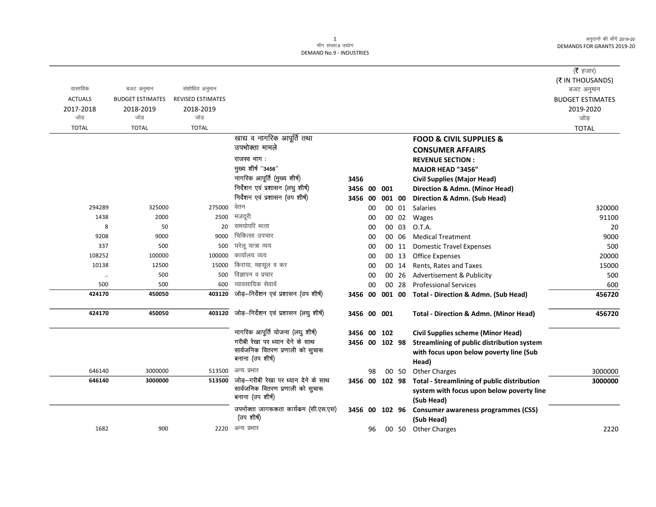$\overline{\phantom{0}}$ 

|                      |                         |                          |                                       |                |    |               |       |                                                     | (रै हजार)               |
|----------------------|-------------------------|--------------------------|---------------------------------------|----------------|----|---------------|-------|-----------------------------------------------------|-------------------------|
|                      |                         |                          |                                       |                |    |               |       |                                                     | (₹ IN THOUSANDS)        |
| वास्तविक             | बजट अनुमान              | संशोधित अनुमान           |                                       |                |    |               |       |                                                     | बजट अनुमान              |
| <b>ACTUALS</b>       | <b>BUDGET ESTIMATES</b> | <b>REVISED ESTIMATES</b> |                                       |                |    |               |       |                                                     | <b>BUDGET ESTIMATES</b> |
| 2017-2018<br>जोड     | 2018-2019<br>जोड        | 2018-2019<br>जोड         |                                       |                |    |               |       |                                                     | 2019-2020<br>जोड़       |
| <b>TOTAL</b>         | <b>TOTAL</b>            | <b>TOTAL</b>             |                                       |                |    |               |       |                                                     | <b>TOTAL</b>            |
|                      |                         |                          | खाद्य व नागरिक आपूर्ति तथा            |                |    |               |       | <b>FOOD &amp; CIVIL SUPPLIES &amp;</b>              |                         |
|                      |                         |                          | उपभोक्ता मामले                        |                |    |               |       |                                                     |                         |
|                      |                         |                          | राजस्व भाग:                           |                |    |               |       | <b>CONSUMER AFFAIRS</b>                             |                         |
|                      |                         |                          | मुख्य शीर्ष "3456"                    |                |    |               |       | <b>REVENUE SECTION:</b>                             |                         |
|                      |                         |                          | नागरिक आपूर्ति (मुख्य शीर्ष)          |                |    |               |       | <b>MAJOR HEAD "3456"</b>                            |                         |
|                      |                         |                          | निर्देशन एवं प्रशासन (लघु शीर्ष)      | 3456           |    |               |       | <b>Civil Supplies (Major Head)</b>                  |                         |
|                      |                         |                          | निर्देशन एवं प्रशासन (उप शीर्ष)       | 3456 00        |    | 001<br>001 00 |       | Direction & Admn. (Minor Head)                      |                         |
| 294289               | 325000                  | 275000                   | वेतन                                  | 3456 00        | 00 |               | 00 01 | Direction & Admn. (Sub Head)<br>Salaries            | 320000                  |
| 1438                 | 2000                    | 2500                     | मजदूरी                                |                | 00 | 00            | 02    | Wages                                               | 91100                   |
| 8                    | 50                      | 20                       | समयोपरि भत्ता                         |                | 00 | 00            | 03    | O.T.A.                                              | 20                      |
| 9208                 | 9000                    | 9000                     | चिकित्सा उपचार                        |                | 00 |               | 00 06 | <b>Medical Treatment</b>                            | 9000                    |
| 337                  | 500                     | 500                      | घरेलू यात्रा व्यय                     |                | 00 | 00            | -11   | <b>Domestic Travel Expenses</b>                     | 500                     |
| 108252               | 100000                  | 100000                   | कार्यालय व्यय                         |                | 00 | 00            | 13    | <b>Office Expenses</b>                              | 20000                   |
| 10138                | 12500                   | 15000                    | किराया, महसूल व कर                    |                | 00 |               | 00 14 | Rents, Rates and Taxes                              | 15000                   |
| $\ddot{\phantom{a}}$ | 500                     | 500                      | विज्ञापन व प्रचार                     |                | 00 |               | 00 26 | Advertisement & Publicity                           | 500                     |
| 500                  | 500                     | 600                      | व्यावसायिक सेवायें                    |                | 00 |               | 00 28 | <b>Professional Services</b>                        | 600                     |
| 424170               | 450050                  | 403120                   | जोड़-निर्देशन एवं प्रशासन (उप शीर्ष)  |                |    |               |       | 3456 00 001 00 Total - Direction & Admn. (Sub Head) | 456720                  |
| 424170               | 450050                  | 403120                   | जोड़-निर्देशन एवं प्रशासन (लघु शीर्ष) | 3456 00 001    |    |               |       | <b>Total - Direction &amp; Admn. (Minor Head)</b>   | 456720                  |
|                      |                         |                          | नागरिक आपूर्ति योजना (लघु शीर्ष)      | 3456 00 102    |    |               |       | <b>Civil Supplies scheme (Minor Head)</b>           |                         |
|                      |                         |                          | गरीबी रेखा पर ध्यान देने के साथ       | 3456 00 102 98 |    |               |       | Streamlining of public distribution system          |                         |
|                      |                         |                          | सार्वजनिक वितरण प्रणाली को सुचारू     |                |    |               |       | with focus upon below poverty line (Sub             |                         |
|                      |                         |                          | बनाना (उप शीर्ष)                      |                |    |               |       | Head)                                               |                         |
| 646140               | 3000000                 | 513500                   | अन्य प्रभार                           |                | 98 |               | 00 50 | <b>Other Charges</b>                                | 3000000                 |
| 646140               | 3000000                 | 513500                   | जोड़–गरीबी रेखा पर ध्यान देने के साथ  | 3456 00 102 98 |    |               |       | Total - Streamlining of public distribution         | 3000000                 |
|                      |                         |                          | सार्वजनिक वितरण प्रणाली को सुचारू     |                |    |               |       | system with focus upon below poverty line           |                         |
|                      |                         |                          | बनाना (उप शीर्ष)                      |                |    |               |       | (Sub Head)                                          |                         |
|                      |                         |                          | उपभोक्ता जागरूकता कार्यकम (सी.एस.एस)  | 3456 00 102 96 |    |               |       | <b>Consumer awareness programmes (CSS)</b>          |                         |
|                      |                         |                          | (उप शीर्ष)                            |                |    |               |       | (Sub Head)                                          |                         |
| 1682                 | 900                     |                          | 2220 अन्य प्रभार                      |                | 96 |               |       | 00 50 Other Charges                                 | 2220                    |
|                      |                         |                          |                                       |                |    |               |       |                                                     |                         |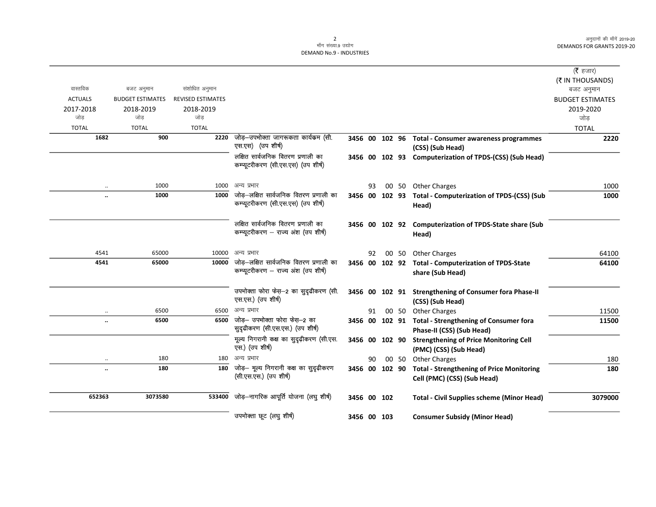|                      |                         |                          |                                                                                |                |    |       |                                                                                    | ( <b>रै</b> हजार)<br>(₹ IN THOUSANDS) |
|----------------------|-------------------------|--------------------------|--------------------------------------------------------------------------------|----------------|----|-------|------------------------------------------------------------------------------------|---------------------------------------|
| वास्तविक             | बजट अनुमान              | संशोधित अनुमान           |                                                                                |                |    |       |                                                                                    | बजट अनुमान                            |
| <b>ACTUALS</b>       | <b>BUDGET ESTIMATES</b> | <b>REVISED ESTIMATES</b> |                                                                                |                |    |       |                                                                                    | <b>BUDGET ESTIMATES</b>               |
| 2017-2018<br>जोड     | 2018-2019<br>जोड        | 2018-2019<br>जोड         |                                                                                |                |    |       |                                                                                    | 2019-2020<br>जोड                      |
| <b>TOTAL</b>         | <b>TOTAL</b>            | <b>TOTAL</b>             |                                                                                |                |    |       |                                                                                    |                                       |
| 1682                 | 900                     | 2220                     | जोड़–उपभोक्ता जागरूकता कार्यक्रम (सी.                                          |                |    |       |                                                                                    | <b>TOTAL</b>                          |
|                      |                         |                          | एस.एस) (उप शीर्ष)                                                              | 3456 00 102 96 |    |       | <b>Total - Consumer awareness programmes</b><br>(CSS) (Sub Head)                   | 2220                                  |
|                      |                         |                          | लक्षित सार्वजनिक वितरण प्रणाली का<br>कम्प्यूटरीकरण (सी.एस.एस) (उप शीर्ष)       |                |    |       | 3456 00 102 93 Computerization of TPDS-(CSS) (Sub Head)                            |                                       |
| $\ldots$             | 1000                    | 1000                     | अन्य प्रभार                                                                    |                | 93 |       | 00 50 Other Charges                                                                | 1000                                  |
|                      | 1000                    | 1000                     | जोड़—लक्षित सार्वजनिक वितरण प्रणाली का<br>कम्प्यूटरीकरण (सी.एस.एस) (उप शीर्ष)  | 3456 00 102 93 |    |       | <b>Total - Computerization of TPDS-(CSS) (Sub</b><br>Head)                         | 1000                                  |
|                      |                         |                          | लक्षित सार्वजनिक वितरण प्रणाली का<br>कम्प्यूटरीकरण – राज्य अंश (उप शीर्ष)      |                |    |       | 3456 00 102 92 Computerization of TPDS-State share (Sub<br>Head)                   |                                       |
| 4541                 | 65000                   | 10000                    | अन्य प्रभार                                                                    |                | 92 | 00 50 | <b>Other Charges</b>                                                               | 64100                                 |
| 4541                 | 65000                   | 10000                    | जोड़—लक्षित सार्वजनिक वितरण प्रणाली का<br>कम्प्यूटरीकरण – राज्य अंश (उप शीर्ष) | 3456 00 102 92 |    |       | <b>Total - Computerization of TPDS-State</b><br>share (Sub Head)                   | 64100                                 |
|                      |                         |                          | उपभोक्ता फोरा फेस़-2 का सुदृढीकरण (सी.<br>एस.एस.) (उप शीर्ष)                   |                |    |       | 3456 00 102 91 Strengthening of Consumer fora Phase-II<br>(CSS) (Sub Head)         |                                       |
| $\cdot$ .            | 6500                    | 6500                     | अन्य प्रभार                                                                    |                | 91 |       | 00 50 Other Charges                                                                | 11500                                 |
| $\ldots$             | 6500                    | 6500                     | जोड़— उपभोक्ता फोरा फेस़—2 का<br>सुदृढीकरण (सी.एस.एस.) (उप शीर्ष)              |                |    |       | 3456 00 102 91 Total - Strengthening of Consumer fora<br>Phase-II (CSS) (Sub Head) | 11500                                 |
|                      |                         |                          | मूल्य निगरानी कक्ष का सुदृढ़ीकरण (सी.एस.<br>एस.) (उप शीर्ष)                    | 3456 00 102 90 |    |       | <b>Strengthening of Price Monitoring Cell</b><br>(PMC) (CSS) (Sub Head)            |                                       |
| $\cdot\cdot$         | 180                     | 180                      | अन्य प्रभार                                                                    |                | 90 |       | 00 50 Other Charges                                                                | 180                                   |
| $\ddot{\phantom{0}}$ | 180                     | 180                      | जोड़- मूल्य निगरानी कक्ष का सुदृढ़ीकरण<br>(सी.एस.एस.) (उप शीर्ष)               | 3456 00 102 90 |    |       | <b>Total - Strengthening of Price Monitoring</b><br>Cell (PMC) (CSS) (Sub Head)    | 180                                   |
| 652363               | 3073580                 | 533400                   | जोड़—नागरिक आपूर्ति योजना (लघु शीर्ष)                                          | 3456 00 102    |    |       | <b>Total - Civil Supplies scheme (Minor Head)</b>                                  | 3079000                               |
|                      |                         |                          | उपभोक्ता छूट (लघु शीर्ष)                                                       | 3456 00 103    |    |       | <b>Consumer Subsidy (Minor Head)</b>                                               |                                       |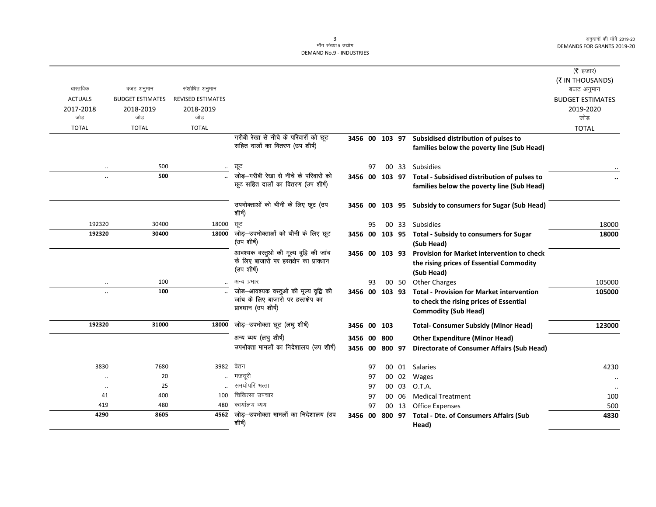$=$ 

|                   |                         |                          |                                                                                 |                |          |        |                |                                                             | (रै हजार)               |
|-------------------|-------------------------|--------------------------|---------------------------------------------------------------------------------|----------------|----------|--------|----------------|-------------------------------------------------------------|-------------------------|
| वास्तविक          |                         |                          |                                                                                 |                |          |        |                |                                                             | (₹ IN THOUSANDS)        |
|                   | बजट अनुमान              | संशोधित अनुमान           |                                                                                 |                |          |        |                |                                                             | बजट अनुमान              |
| <b>ACTUALS</b>    | <b>BUDGET ESTIMATES</b> | <b>REVISED ESTIMATES</b> |                                                                                 |                |          |        |                |                                                             | <b>BUDGET ESTIMATES</b> |
| 2017-2018<br>जोड़ | 2018-2019<br>जोड        | 2018-2019<br>जोड         |                                                                                 |                |          |        |                |                                                             | 2019-2020               |
|                   |                         |                          |                                                                                 |                |          |        |                |                                                             | जोड                     |
| <b>TOTAL</b>      | <b>TOTAL</b>            | <b>TOTAL</b>             |                                                                                 |                |          |        |                |                                                             | <b>TOTAL</b>            |
|                   |                         |                          | गरीबी रेखा से नीचे के परिवारों को छूट<br>सहित दालों का वितरण (उप शीर्ष)         | 3456 00 103 97 |          |        |                | Subsidised distribution of pulses to                        |                         |
|                   |                         |                          |                                                                                 |                |          |        |                | families below the poverty line (Sub Head)                  |                         |
| $\ddotsc$         | 500                     | $\ldots$                 | छूट                                                                             |                | 97       |        |                | 00 33 Subsidies                                             |                         |
| $\ddotsc$         | 500                     |                          | जोड—गरीबी रेखा से नीचे के परिवारों को                                           |                |          |        |                | 3456 00 103 97 Total - Subsidised distribution of pulses to |                         |
|                   |                         |                          | छूट सहित दालों का वितरण (उप शीर्ष)                                              |                |          |        |                | families below the poverty line (Sub Head)                  |                         |
|                   |                         |                          |                                                                                 |                |          |        |                |                                                             |                         |
|                   |                         |                          | उपभोक्ताओं को चीनी के लिए छूट (उप                                               |                |          |        |                | 3456 00 103 95 Subsidy to consumers for Sugar (Sub Head)    |                         |
|                   |                         |                          | शीर्ष)                                                                          |                |          |        |                |                                                             |                         |
| 192320            | 30400                   | 18000                    | ਯੂਟ                                                                             |                | 95       |        |                | 00 33 Subsidies                                             | 18000                   |
| 192320            | 30400                   | 18000                    | जोड़—उपभोक्ताओं को चीनी के लिए छूट                                              |                |          |        |                | 3456 00 103 95 Total - Subsidy to consumers for Sugar       | 18000                   |
|                   |                         |                          | (उप शीर्ष)                                                                      |                |          |        |                | (Sub Head)                                                  |                         |
|                   |                         |                          | आवश्यक वस्तुओ की मूल्य वृद्वि की जांच<br>के लिए बाजारो पर हस्तक्षेप का प्रावधान | 3456 00 103 93 |          |        |                | <b>Provision for Market intervention to check</b>           |                         |
|                   |                         |                          | (उप शीर्ष)                                                                      |                |          |        |                | the rising prices of Essential Commodity                    |                         |
|                   |                         |                          |                                                                                 |                |          |        |                | (Sub Head)                                                  |                         |
|                   | 100                     |                          | अन्य प्रभार                                                                     |                | 93       |        | 00 50          | <b>Other Charges</b>                                        | 105000                  |
| $\ldots$          | 100                     |                          | जोड़-आवश्यक वस्तुओ की मूल्य वृद्वि की<br>जांच के लिए बाजारो पर हस्तक्षेप का     | 3456 00        |          | 103 93 |                | <b>Total - Provision for Market intervention</b>            | 105000                  |
|                   |                         |                          | प्रावधान (उप शीर्ष)                                                             |                |          |        |                | to check the rising prices of Essential                     |                         |
|                   |                         |                          |                                                                                 |                |          |        |                | <b>Commodity (Sub Head)</b>                                 |                         |
| 192320            | 31000                   | 18000                    | जोड़-उपभोक्ता छूट (लघु शीर्ष)                                                   | 3456 00 103    |          |        |                | <b>Total- Consumer Subsidy (Minor Head)</b>                 | 123000                  |
|                   |                         |                          | अन्य व्यय (लघु शीर्ष)                                                           | 3456 00        |          | 800    |                | <b>Other Expenditure (Minor Head)</b>                       |                         |
|                   |                         |                          | उपभोक्ता मामलों का निदेशालय (उप शीर्ष)                                          | 3456 00        |          | 800 97 |                | <b>Directorate of Consumer Affairs (Sub Head)</b>           |                         |
|                   |                         |                          | वेतन                                                                            |                |          |        |                |                                                             |                         |
| 3830              | 7680<br>20              | 3982                     | मजदूरी                                                                          |                | 97       |        | 00 01          | Salaries                                                    | 4230                    |
| $\ddotsc$         | 25                      |                          | समयोपरि भत्ता                                                                   |                | 97       |        | 00 02          | Wages                                                       |                         |
| $\ddotsc$<br>41   | 400                     | 100                      | चिकित्सा उपचार                                                                  |                | 97<br>97 |        | 00 03<br>00 06 | O.T.A.<br><b>Medical Treatment</b>                          |                         |
| 419               | 480                     | 480                      | कार्यालय व्यय                                                                   |                | 97       |        | 00 13          | <b>Office Expenses</b>                                      | 100<br>500              |
| 4290              | 8605                    |                          | 4562 जोड़-उपभोक्ता मामलों का निदेशालय (उप                                       | 3456 00 800 97 |          |        |                | <b>Total - Dte. of Consumers Affairs (Sub</b>               | 4830                    |
|                   |                         |                          | शीर्ष)                                                                          |                |          |        |                | Head)                                                       |                         |
|                   |                         |                          |                                                                                 |                |          |        |                |                                                             |                         |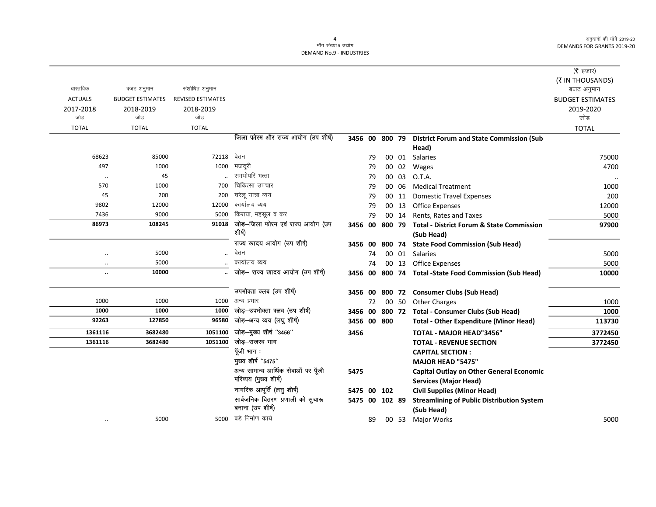## 4 मॉंग संख्या.9 उद्योग DEMAND No.9 - INDUSTRIES

|                      |                         |                          |                                     |                |    |        |       |                                                        | ( $\bar{\tau}$ हजार)<br>(そ IN THOUSANDS) |
|----------------------|-------------------------|--------------------------|-------------------------------------|----------------|----|--------|-------|--------------------------------------------------------|------------------------------------------|
| वास्तविक             | बजट अनुमान              | संशोधित अनुमान           |                                     |                |    |        |       |                                                        | बजट अनुमान                               |
| <b>ACTUALS</b>       | <b>BUDGET ESTIMATES</b> | <b>REVISED ESTIMATES</b> |                                     |                |    |        |       |                                                        | <b>BUDGET ESTIMATES</b>                  |
| 2017-2018            | 2018-2019               | 2018-2019                |                                     |                |    |        |       |                                                        | 2019-2020                                |
| जोड                  | जोड                     | जोड                      |                                     |                |    |        |       |                                                        | जोड                                      |
| <b>TOTAL</b>         | <b>TOTAL</b>            | <b>TOTAL</b>             |                                     |                |    |        |       |                                                        | <b>TOTAL</b>                             |
|                      |                         |                          | जिला फोरम और राज्य आयोग (उप शीर्ष)  | 3456 00 800 79 |    |        |       | <b>District Forum and State Commission (Sub</b>        |                                          |
|                      |                         |                          |                                     |                |    |        |       | Head)                                                  |                                          |
| 68623                | 85000                   | 72118                    | वेतन                                |                | 79 |        | 00 01 | Salaries                                               | 75000                                    |
| 497                  | 1000                    | 1000                     | मजदूरी                              |                | 79 |        | 00 02 | Wages                                                  | 4700                                     |
| $\ldots$             | 45                      |                          | समयोपरि भत्ता                       |                | 79 |        | 00 03 | O.T.A.                                                 | $\ddotsc$                                |
| 570                  | 1000                    | 700                      | चिकित्सा उपचार                      |                | 79 |        | 00 06 | <b>Medical Treatment</b>                               | 1000                                     |
| 45                   | 200                     | 200                      | घरेलू यात्रा व्यय                   |                | 79 |        | 00 11 | <b>Domestic Travel Expenses</b>                        | 200                                      |
| 9802                 | 12000                   | 12000                    | कार्यालय व्यय                       |                | 79 |        | 00 13 | <b>Office Expenses</b>                                 | 12000                                    |
| 7436                 | 9000                    | 5000                     | किराया, महसूल व कर                  |                | 79 |        | 00 14 | Rents, Rates and Taxes                                 | 5000                                     |
| 86973                | 108245                  | 91018                    | जोड़-जिला फोरम एवं राज्य आयोग (उप   | 3456 00        |    | 800 79 |       | <b>Total - District Forum &amp; State Commission</b>   | 97900                                    |
|                      |                         |                          | शीर्ष)                              |                |    |        |       | (Sub Head)                                             |                                          |
|                      |                         |                          | राज्य खादय आयोग (उप शीर्ष)          | 3456 00        |    |        |       | 800 74 State Food Commission (Sub Head)                |                                          |
| $\ddot{\phantom{0}}$ | 5000                    | $\ddot{\phantom{a}}$     | वेतन                                |                | 74 |        | 00 01 | Salaries                                               | 5000                                     |
| $\ldots$             | 5000                    |                          | कार्यालय व्यय                       |                | 74 |        | 00 13 | <b>Office Expenses</b>                                 | 5000                                     |
| $\ddot{\phantom{a}}$ | 10000                   |                          | जोड़- राज्य खादय आयोग (उप शीर्ष)    |                |    |        |       | 3456 00 800 74 Total -State Food Commission (Sub Head) | 10000                                    |
|                      |                         |                          | उपभोक्ता क्लब (उप शीर्ष)            |                |    |        |       | 3456 00 800 72 Consumer Clubs (Sub Head)               |                                          |
| 1000                 | 1000                    | 1000                     | अन्य प्रभार                         |                | 72 |        | 00 50 | <b>Other Charges</b>                                   | 1000                                     |
| 1000                 | 1000                    | 1000                     | जोड़-उपभोक्ता क्लब (उप शीर्ष)       | 3456 00        |    | 800 72 |       | <b>Total - Consumer Clubs (Sub Head)</b>               | 1000                                     |
| 92263                | 127850                  | 96580                    | जोड़-अन्य व्यय (लघु शीर्ष)          | 3456 00 800    |    |        |       | <b>Total - Other Expenditure (Minor Head)</b>          | 113730                                   |
| 1361116              | 3682480                 | 1051100                  | जोड़-मुख्य शीर्ष "3456"             | 3456           |    |        |       | <b>TOTAL - MAJOR HEAD"3456"</b>                        | 3772450                                  |
| 1361116              | 3682480                 | 1051100                  | जोड–राजस्व भाग                      |                |    |        |       | <b>TOTAL - REVENUE SECTION</b>                         | 3772450                                  |
|                      |                         |                          | पूँजी भाग:                          |                |    |        |       | <b>CAPITAL SECTION:</b>                                |                                          |
|                      |                         |                          | मुख्य शीर्ष "5475"                  |                |    |        |       | <b>MAJOR HEAD "5475"</b>                               |                                          |
|                      |                         |                          | अन्य सामान्य आर्थिक सेवाओं पर पूँजी | 5475           |    |        |       | <b>Capital Outlay on Other General Economic</b>        |                                          |
|                      |                         |                          | परिव्यय (मुख्य शीर्ष)               |                |    |        |       | <b>Services (Major Head)</b>                           |                                          |
|                      |                         |                          | नागरिक आपूर्ति (लघु शीर्ष)          | 5475 00 102    |    |        |       | <b>Civil Supplies (Minor Head)</b>                     |                                          |
|                      |                         |                          | सार्वजनिक वितरण प्रणाली को सुचारू   | 5475 00 102 89 |    |        |       | <b>Streamlining of Public Distribution System</b>      |                                          |
|                      |                         |                          | बनाना (उप शीर्ष)                    |                |    |        |       | (Sub Head)                                             |                                          |
|                      | 5000                    |                          | 5000 बडे निर्माण कार्य              |                | 89 |        |       | 00 53 Major Works                                      | 5000                                     |
|                      |                         |                          |                                     |                |    |        |       |                                                        |                                          |